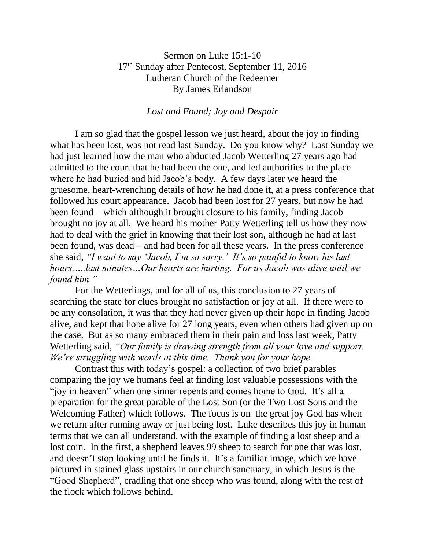## Sermon on Luke 15:1-10 17th Sunday after Pentecost, September 11, 2016 Lutheran Church of the Redeemer By James Erlandson

## *Lost and Found; Joy and Despair*

I am so glad that the gospel lesson we just heard, about the joy in finding what has been lost, was not read last Sunday. Do you know why? Last Sunday we had just learned how the man who abducted Jacob Wetterling 27 years ago had admitted to the court that he had been the one, and led authorities to the place where he had buried and hid Jacob's body. A few days later we heard the gruesome, heart-wrenching details of how he had done it, at a press conference that followed his court appearance. Jacob had been lost for 27 years, but now he had been found – which although it brought closure to his family, finding Jacob brought no joy at all. We heard his mother Patty Wetterling tell us how they now had to deal with the grief in knowing that their lost son, although he had at last been found, was dead – and had been for all these years. In the press conference she said, *"I want to say 'Jacob, I'm so sorry.' It's so painful to know his last hours…..last minutes…Our hearts are hurting. For us Jacob was alive until we found him."*

For the Wetterlings, and for all of us, this conclusion to 27 years of searching the state for clues brought no satisfaction or joy at all. If there were to be any consolation, it was that they had never given up their hope in finding Jacob alive, and kept that hope alive for 27 long years, even when others had given up on the case. But as so many embraced them in their pain and loss last week, Patty Wetterling said, *"Our family is drawing strength from all your love and support. We're struggling with words at this time. Thank you for your hope.*

Contrast this with today's gospel: a collection of two brief parables comparing the joy we humans feel at finding lost valuable possessions with the "joy in heaven" when one sinner repents and comes home to God. It's all a preparation for the great parable of the Lost Son (or the Two Lost Sons and the Welcoming Father) which follows. The focus is on the great joy God has when we return after running away or just being lost. Luke describes this joy in human terms that we can all understand, with the example of finding a lost sheep and a lost coin. In the first, a shepherd leaves 99 sheep to search for one that was lost, and doesn't stop looking until he finds it. It's a familiar image, which we have pictured in stained glass upstairs in our church sanctuary, in which Jesus is the "Good Shepherd", cradling that one sheep who was found, along with the rest of the flock which follows behind.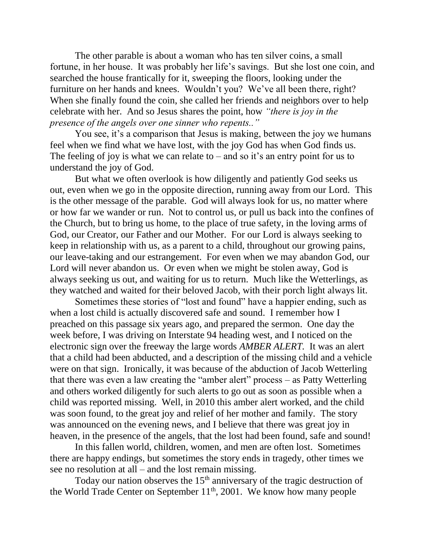The other parable is about a woman who has ten silver coins, a small fortune, in her house. It was probably her life's savings. But she lost one coin, and searched the house frantically for it, sweeping the floors, looking under the furniture on her hands and knees. Wouldn't you? We've all been there, right? When she finally found the coin, she called her friends and neighbors over to help celebrate with her. And so Jesus shares the point, how *"there is joy in the presence of the angels over one sinner who repents.."*

You see, it's a comparison that Jesus is making, between the joy we humans feel when we find what we have lost, with the joy God has when God finds us. The feeling of joy is what we can relate to  $-$  and so it's an entry point for us to understand the joy of God.

But what we often overlook is how diligently and patiently God seeks us out, even when we go in the opposite direction, running away from our Lord. This is the other message of the parable. God will always look for us, no matter where or how far we wander or run. Not to control us, or pull us back into the confines of the Church, but to bring us home, to the place of true safety, in the loving arms of God, our Creator, our Father and our Mother. For our Lord is always seeking to keep in relationship with us, as a parent to a child, throughout our growing pains, our leave-taking and our estrangement. For even when we may abandon God, our Lord will never abandon us. Or even when we might be stolen away, God is always seeking us out, and waiting for us to return. Much like the Wetterlings, as they watched and waited for their beloved Jacob, with their porch light always lit.

Sometimes these stories of "lost and found" have a happier ending, such as when a lost child is actually discovered safe and sound. I remember how I preached on this passage six years ago, and prepared the sermon. One day the week before, I was driving on Interstate 94 heading west, and I noticed on the electronic sign over the freeway the large words *AMBER ALERT.* It was an alert that a child had been abducted, and a description of the missing child and a vehicle were on that sign. Ironically, it was because of the abduction of Jacob Wetterling that there was even a law creating the "amber alert" process – as Patty Wetterling and others worked diligently for such alerts to go out as soon as possible when a child was reported missing. Well, in 2010 this amber alert worked, and the child was soon found, to the great joy and relief of her mother and family. The story was announced on the evening news, and I believe that there was great joy in heaven, in the presence of the angels, that the lost had been found, safe and sound!

In this fallen world, children, women, and men are often lost. Sometimes there are happy endings, but sometimes the story ends in tragedy, other times we see no resolution at all – and the lost remain missing.

Today our nation observes the  $15<sup>th</sup>$  anniversary of the tragic destruction of the World Trade Center on September  $11^{th}$ , 2001. We know how many people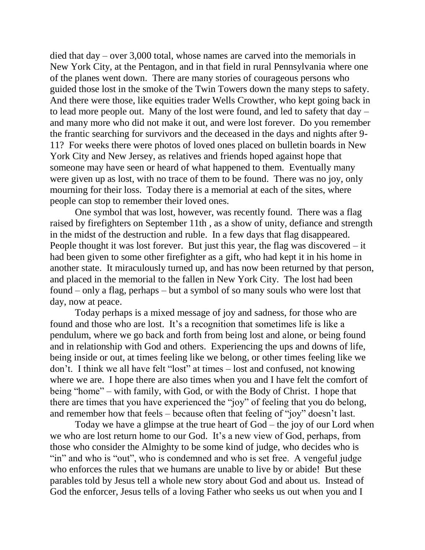died that day – over 3,000 total, whose names are carved into the memorials in New York City, at the Pentagon, and in that field in rural Pennsylvania where one of the planes went down. There are many stories of courageous persons who guided those lost in the smoke of the Twin Towers down the many steps to safety. And there were those, like equities trader Wells Crowther, who kept going back in to lead more people out. Many of the lost were found, and led to safety that day – and many more who did not make it out, and were lost forever. Do you remember the frantic searching for survivors and the deceased in the days and nights after 9- 11? For weeks there were photos of loved ones placed on bulletin boards in New York City and New Jersey, as relatives and friends hoped against hope that someone may have seen or heard of what happened to them. Eventually many were given up as lost, with no trace of them to be found. There was no joy, only mourning for their loss. Today there is a memorial at each of the sites, where people can stop to remember their loved ones.

One symbol that was lost, however, was recently found. There was a flag raised by firefighters on September 11th , as a show of unity, defiance and strength in the midst of the destruction and ruble. In a few days that flag disappeared. People thought it was lost forever. But just this year, the flag was discovered – it had been given to some other firefighter as a gift, who had kept it in his home in another state. It miraculously turned up, and has now been returned by that person, and placed in the memorial to the fallen in New York City. The lost had been found – only a flag, perhaps – but a symbol of so many souls who were lost that day, now at peace.

Today perhaps is a mixed message of joy and sadness, for those who are found and those who are lost. It's a recognition that sometimes life is like a pendulum, where we go back and forth from being lost and alone, or being found and in relationship with God and others. Experiencing the ups and downs of life, being inside or out, at times feeling like we belong, or other times feeling like we don't. I think we all have felt "lost" at times – lost and confused, not knowing where we are. I hope there are also times when you and I have felt the comfort of being "home" – with family, with God, or with the Body of Christ. I hope that there are times that you have experienced the "joy" of feeling that you do belong, and remember how that feels – because often that feeling of "joy" doesn't last.

Today we have a glimpse at the true heart of God – the joy of our Lord when we who are lost return home to our God. It's a new view of God, perhaps, from those who consider the Almighty to be some kind of judge, who decides who is "in" and who is "out", who is condemned and who is set free. A vengeful judge who enforces the rules that we humans are unable to live by or abide! But these parables told by Jesus tell a whole new story about God and about us. Instead of God the enforcer, Jesus tells of a loving Father who seeks us out when you and I